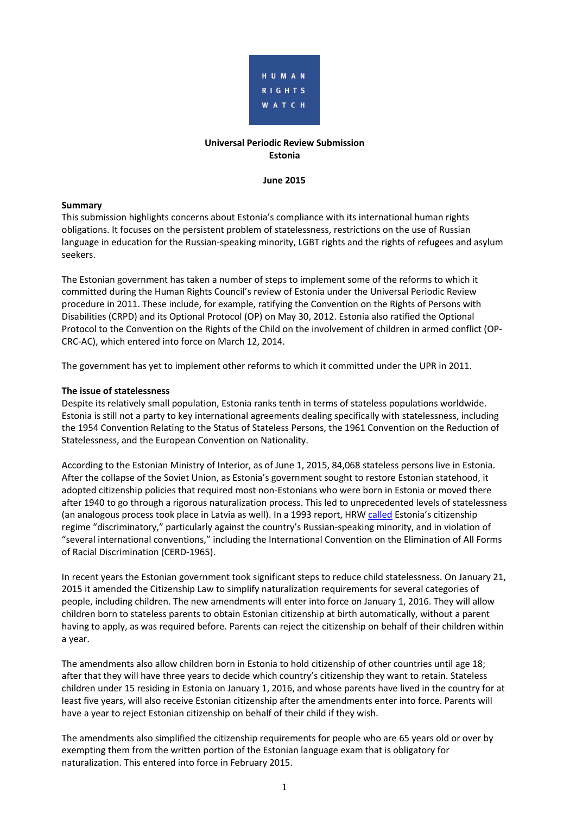

## **Universal Periodic Review Submission Estonia**

#### **June 2015**

#### **Summary**

This submission highlights concerns about Estonia's compliance with its international human rights obligations. It focuses on the persistent problem of statelessness, restrictions on the use of Russian language in education for the Russian-speaking minority, LGBT rights and the rights of refugees and asylum seekers.

The Estonian government has taken a number of steps to implement some of the reforms to which it committed during the Human Rights Council's review of Estonia under the Universal Periodic Review procedure in 2011. These include, for example, ratifying the Convention on the Rights of Persons with Disabilities (CRPD) and its Optional Protocol (OP) on May 30, 2012. Estonia also ratified the Optional Protocol to the Convention on the Rights of the Child on the involvement of children in armed conflict (OP-CRC-AC), which entered into force on March 12, 2014.

The government has yet to implement other reforms to which it committed under the UPR in 2011.

#### **The issue of statelessness**

Despite its relatively small population, Estonia ranks tenth in terms of stateless populations worldwide. Estonia is still not a party to key international agreements dealing specifically with statelessness, including the 1954 Convention Relating to the Status of Stateless Persons, the 1961 Convention on the Reduction of Statelessness, and the European Convention on Nationality.

According to the Estonian Ministry of Interior, as of June 1, 2015, 84,068 stateless persons live in Estonia. After the collapse of the Soviet Union, as Estonia's government sought to restore Estonian statehood, it adopted citizenship policies that required most non-Estonians who were born in Estonia or moved there after 1940 to go through a rigorous naturalization process. This led to unprecedented levels of statelessness (an analogous process took place in Latvia as well). In a 1993 report, HR[W called](http://www.hrw.org/legacy/reports/pdfs/e/estonia/estonia93o.pdf) Estonia's citizenship regime "discriminatory," particularly against the country's Russian-speaking minority, and in violation of "several international conventions," including the International Convention on the Elimination of All Forms of Racial Discrimination (CERD-1965).

In recent years the Estonian government took significant steps to reduce child statelessness. On January 21, 2015 it amended the Citizenship Law to simplify naturalization requirements for several categories of people, including children. The new amendments will enter into force on January 1, 2016. They will allow children born to stateless parents to obtain Estonian citizenship at birth automatically, without a parent having to apply, as was required before. Parents can reject the citizenship on behalf of their children within a year.

The amendments also allow children born in Estonia to hold citizenship of other countries until age 18; after that they will have three years to decide which country's citizenship they want to retain. Stateless children under 15 residing in Estonia on January 1, 2016, and whose parents have lived in the country for at least five years, will also receive Estonian citizenship after the amendments enter into force. Parents will have a year to reject Estonian citizenship on behalf of their child if they wish.

The amendments also simplified the citizenship requirements for people who are 65 years old or over by exempting them from the written portion of the Estonian language exam that is obligatory for naturalization. This entered into force in February 2015.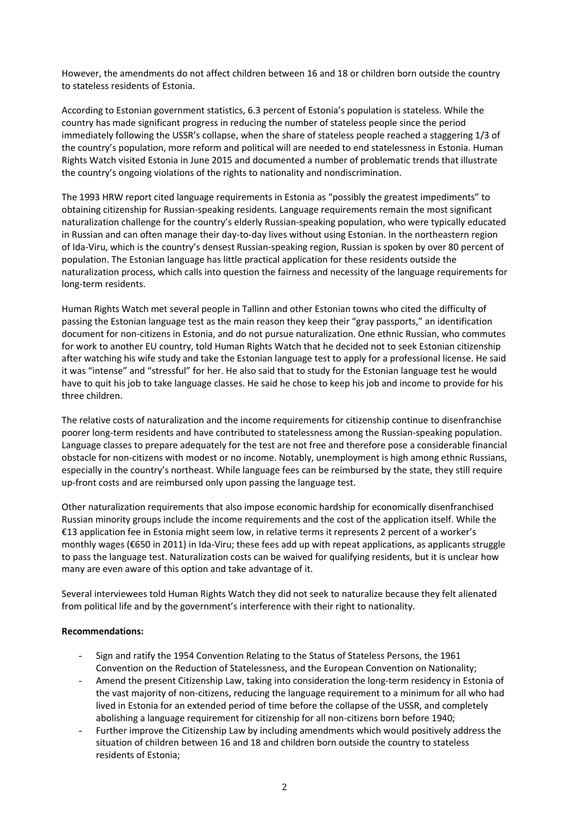However, the amendments do not affect children between 16 and 18 or children born outside the country to stateless residents of Estonia.

According to Estonian government statistics, 6.3 percent of Estonia's population is stateless. While the country has made significant progress in reducing the number of stateless people since the period immediately following the USSR's collapse, when the share of stateless people reached a staggering 1/3 of the country's population, more reform and political will are needed to end statelessness in Estonia. Human Rights Watch visited Estonia in June 2015 and documented a number of problematic trends that illustrate the country's ongoing violations of the rights to nationality and nondiscrimination.

The 1993 HRW report cited language requirements in Estonia as "possibly the greatest impediments" to obtaining citizenship for Russian-speaking residents. Language requirements remain the most significant naturalization challenge for the country's elderly Russian-speaking population, who were typically educated in Russian and can often manage their day-to-day lives without using Estonian. In the northeastern region of Ida-Viru, which is the country's densest Russian-speaking region, Russian is spoken by over 80 percent of population. The Estonian language has little practical application for these residents outside the naturalization process, which calls into question the fairness and necessity of the language requirements for long-term residents.

Human Rights Watch met several people in Tallinn and other Estonian towns who cited the difficulty of passing the Estonian language test as the main reason they keep their "gray passports," an identification document for non-citizens in Estonia, and do not pursue naturalization. One ethnic Russian, who commutes for work to another EU country, told Human Rights Watch that he decided not to seek Estonian citizenship after watching his wife study and take the Estonian language test to apply for a professional license. He said it was "intense" and "stressful" for her. He also said that to study for the Estonian language test he would have to quit his job to take language classes. He said he chose to keep his job and income to provide for his three children.

The relative costs of naturalization and the income requirements for citizenship continue to disenfranchise poorer long-term residents and have contributed to statelessness among the Russian-speaking population. Language classes to prepare adequately for the test are not free and therefore pose a considerable financial obstacle for non-citizens with modest or no income. Notably, unemployment is high among ethnic Russians, especially in the country's northeast. While language fees can be reimbursed by the state, they still require up-front costs and are reimbursed only upon passing the language test.

Other naturalization requirements that also impose economic hardship for economically disenfranchised Russian minority groups include the income requirements and the cost of the application itself. While the €13 application fee in Estonia might seem low, in relative terms it represents 2 percent of a worker's monthly wages (€650 in 2011) in Ida-Viru; these fees add up with repeat applications, as applicants struggle to pass the language test. Naturalization costs can be waived for qualifying residents, but it is unclear how many are even aware of this option and take advantage of it.

Several interviewees told Human Rights Watch they did not seek to naturalize because they felt alienated from political life and by the government's interference with their right to nationality.

## **Recommendations:**

- Sign and ratify the 1954 Convention Relating to the Status of Stateless Persons, the 1961 Convention on the Reduction of Statelessness, and the European Convention on Nationality;
- Amend the present Citizenship Law, taking into consideration the long-term residency in Estonia of the vast majority of non-citizens, reducing the language requirement to a minimum for all who had lived in Estonia for an extended period of time before the collapse of the USSR, and completely abolishing a language requirement for citizenship for all non-citizens born before 1940;
- Further improve the Citizenship Law by including amendments which would positively address the situation of children between 16 and 18 and children born outside the country to stateless residents of Estonia;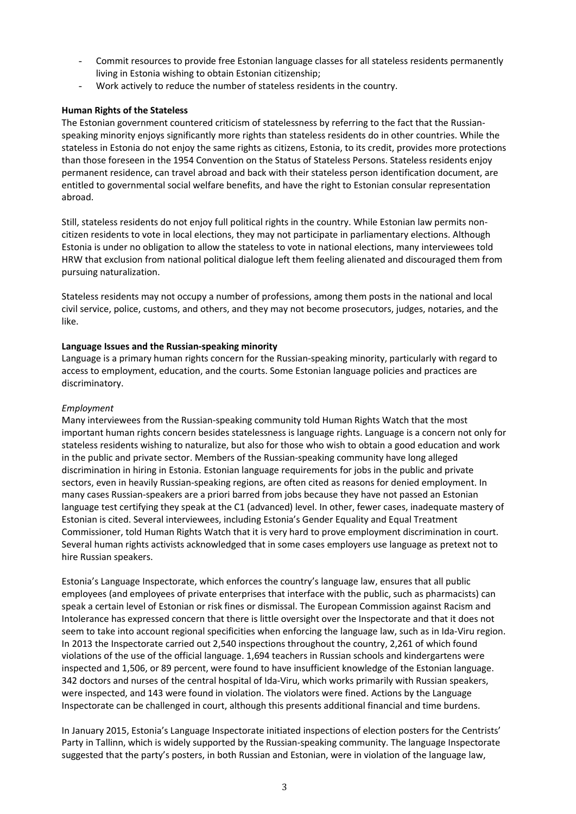- Commit resources to provide free Estonian language classes for all stateless residents permanently living in Estonia wishing to obtain Estonian citizenship;
- Work actively to reduce the number of stateless residents in the country.

## **Human Rights of the Stateless**

The Estonian government countered criticism of statelessness by referring to the fact that the Russianspeaking minority enjoys significantly more rights than stateless residents do in other countries. While the stateless in Estonia do not enjoy the same rights as citizens, Estonia, to its credit, provides more protections than those foreseen in the 1954 Convention on the Status of Stateless Persons. Stateless residents enjoy permanent residence, can travel abroad and back with their stateless person identification document, are entitled to governmental social welfare benefits, and have the right to Estonian consular representation abroad.

Still, stateless residents do not enjoy full political rights in the country. While Estonian law permits noncitizen residents to vote in local elections, they may not participate in parliamentary elections. Although Estonia is under no obligation to allow the stateless to vote in national elections, many interviewees told HRW that exclusion from national political dialogue left them feeling alienated and discouraged them from pursuing naturalization.

Stateless residents may not occupy a number of professions, among them posts in the national and local civil service, police, customs, and others, and they may not become prosecutors, judges, notaries, and the like.

## **Language Issues and the Russian-speaking minority**

Language is a primary human rights concern for the Russian-speaking minority, particularly with regard to access to employment, education, and the courts. Some Estonian language policies and practices are discriminatory.

## *Employment*

Many interviewees from the Russian-speaking community told Human Rights Watch that the most important human rights concern besides statelessness is language rights. Language is a concern not only for stateless residents wishing to naturalize, but also for those who wish to obtain a good education and work in the public and private sector. Members of the Russian-speaking community have long alleged discrimination in hiring in Estonia. Estonian language requirements for jobs in the public and private sectors, even in heavily Russian-speaking regions, are often cited as reasons for denied employment. In many cases Russian-speakers are a priori barred from jobs because they have not passed an Estonian language test certifying they speak at the C1 (advanced) level. In other, fewer cases, inadequate mastery of Estonian is cited. Several interviewees, including Estonia's Gender Equality and Equal Treatment Commissioner, told Human Rights Watch that it is very hard to prove employment discrimination in court. Several human rights activists acknowledged that in some cases employers use language as pretext not to hire Russian speakers.

Estonia's Language Inspectorate, which enforces the country's language law, ensures that all public employees (and employees of private enterprises that interface with the public, such as pharmacists) can speak a certain level of Estonian or risk fines or dismissal. The European Commission against Racism and Intolerance has expressed concern that there is little oversight over the Inspectorate and that it does not seem to take into account regional specificities when enforcing the language law, such as in Ida-Viru region. In 2013 the Inspectorate carried out 2,540 inspections throughout the country, 2,261 of which found violations of the use of the official language. 1,694 teachers in Russian schools and kindergartens were inspected and 1,506, or 89 percent, were found to have insufficient knowledge of the Estonian language. 342 doctors and nurses of the central hospital of Ida-Viru, which works primarily with Russian speakers, were inspected, and 143 were found in violation. The violators were fined. Actions by the Language Inspectorate can be challenged in court, although this presents additional financial and time burdens.

In January 2015, Estonia's Language Inspectorate initiated inspections of election posters for the Centrists' Party in Tallinn, which is widely supported by the Russian-speaking community. The language Inspectorate suggested that the party's posters, in both Russian and Estonian, were in violation of the language law,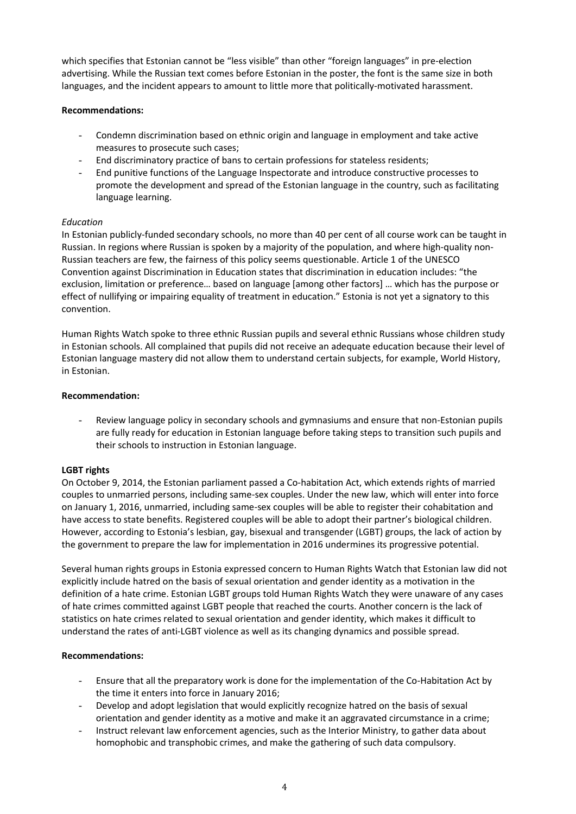which specifies that Estonian cannot be "less visible" than other "foreign languages" in pre-election advertising. While the Russian text comes before Estonian in the poster, the font is the same size in both languages, and the incident appears to amount to little more that politically-motivated harassment.

## **Recommendations:**

- Condemn discrimination based on ethnic origin and language in employment and take active measures to prosecute such cases;
- End discriminatory practice of bans to certain professions for stateless residents;
- End punitive functions of the Language Inspectorate and introduce constructive processes to promote the development and spread of the Estonian language in the country, such as facilitating language learning.

# *Education*

In Estonian publicly-funded secondary schools, no more than 40 per cent of all course work can be taught in Russian. In regions where Russian is spoken by a majority of the population, and where high-quality non-Russian teachers are few, the fairness of this policy seems questionable. Article 1 of the UNESCO Convention against Discrimination in Education states that discrimination in education includes: "the exclusion, limitation or preference… based on language [among other factors] … which has the purpose or effect of nullifying or impairing equality of treatment in education." Estonia is not yet a signatory to this convention.

Human Rights Watch spoke to three ethnic Russian pupils and several ethnic Russians whose children study in Estonian schools. All complained that pupils did not receive an adequate education because their level of Estonian language mastery did not allow them to understand certain subjects, for example, World History, in Estonian.

## **Recommendation:**

Review language policy in secondary schools and gymnasiums and ensure that non-Estonian pupils are fully ready for education in Estonian language before taking steps to transition such pupils and their schools to instruction in Estonian language.

## **LGBT rights**

On October 9, 2014, the Estonian parliament passed a Co-habitation Act, which extends rights of married couples to unmarried persons, including same-sex couples. Under the new law, which will enter into force on January 1, 2016, unmarried, including same-sex couples will be able to register their cohabitation and have access to state benefits. Registered couples will be able to adopt their partner's biological children. However, according to Estonia's lesbian, gay, bisexual and transgender (LGBT) groups, the lack of action by the government to prepare the law for implementation in 2016 undermines its progressive potential.

Several human rights groups in Estonia expressed concern to Human Rights Watch that Estonian law did not explicitly include hatred on the basis of sexual orientation and gender identity as a motivation in the definition of a hate crime. Estonian LGBT groups told Human Rights Watch they were unaware of any cases of hate crimes committed against LGBT people that reached the courts. Another concern is the lack of statistics on hate crimes related to sexual orientation and gender identity, which makes it difficult to understand the rates of anti-LGBT violence as well as its changing dynamics and possible spread.

## **Recommendations:**

- Ensure that all the preparatory work is done for the implementation of the Co-Habitation Act by the time it enters into force in January 2016;
- Develop and adopt legislation that would explicitly recognize hatred on the basis of sexual orientation and gender identity as a motive and make it an aggravated circumstance in a crime;
- Instruct relevant law enforcement agencies, such as the Interior Ministry, to gather data about homophobic and transphobic crimes, and make the gathering of such data compulsory.